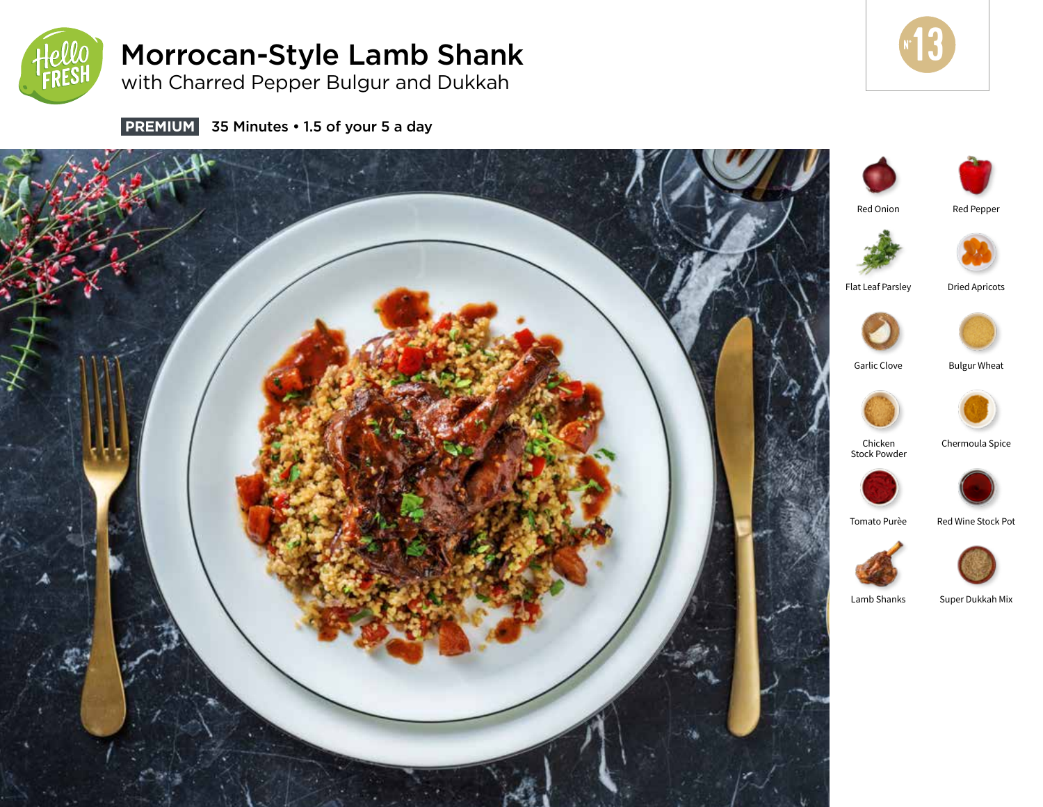

# Morrocan-Style Lamb Shank

with Charred Pepper Bulgur and Dukkah



**PREMIUM** 35 Minutes • 1.5 of your 5 a day